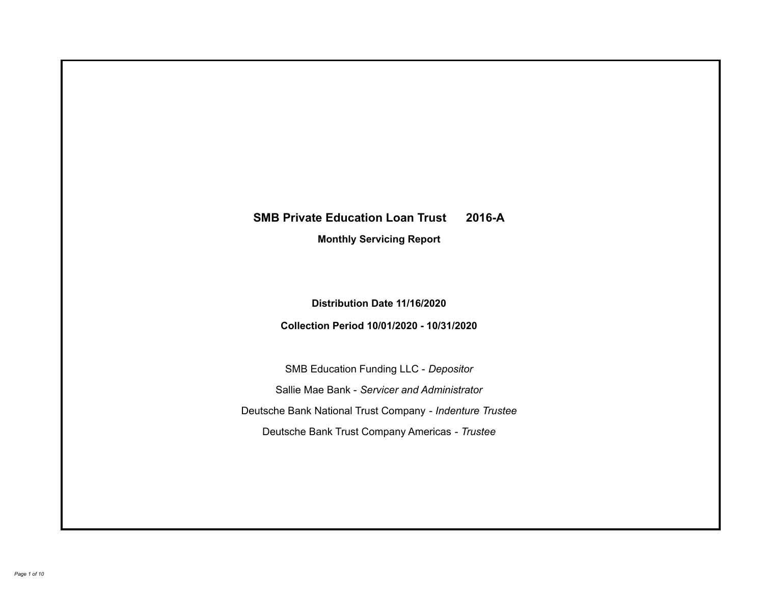# **SMB Private Education Loan Trust 2016-A Monthly Servicing Report**

**Distribution Date 11/16/2020**

**Collection Period 10/01/2020 - 10/31/2020**

SMB Education Funding LLC - *Depositor* Sallie Mae Bank - *Servicer and Administrator* Deutsche Bank National Trust Company - *Indenture Trustee* Deutsche Bank Trust Company Americas - *Trustee*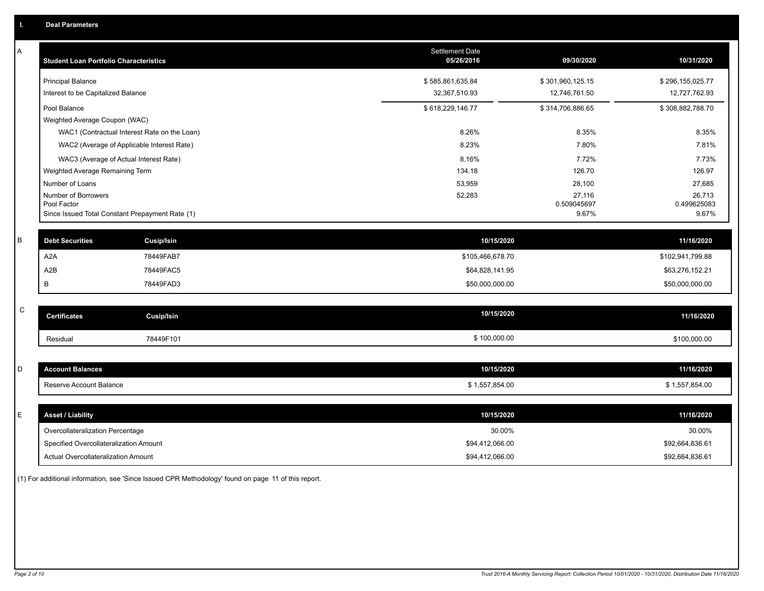| A           | <b>Student Loan Portfolio Characteristics</b> |                                                 | <b>Settlement Date</b><br>05/26/2016 | 09/30/2020            | 10/31/2020            |
|-------------|-----------------------------------------------|-------------------------------------------------|--------------------------------------|-----------------------|-----------------------|
|             | <b>Principal Balance</b>                      |                                                 | \$585,861,635.84                     | \$301,960,125.15      | \$296,155,025.77      |
|             | Interest to be Capitalized Balance            |                                                 | 32,367,510.93                        | 12,746,761.50         | 12,727,762.93         |
|             | Pool Balance                                  |                                                 | \$618,229,146.77                     | \$314,706,886.65      | \$308,882,788.70      |
|             | Weighted Average Coupon (WAC)                 |                                                 |                                      |                       |                       |
|             |                                               | WAC1 (Contractual Interest Rate on the Loan)    | 8.26%                                | 8.35%                 | 8.35%                 |
|             |                                               | WAC2 (Average of Applicable Interest Rate)      | 8.23%                                | 7.80%                 | 7.81%                 |
|             |                                               | WAC3 (Average of Actual Interest Rate)          | 8.16%                                | 7.72%                 | 7.73%                 |
|             | Weighted Average Remaining Term               |                                                 | 134.18                               | 126.70                | 126.97                |
|             | Number of Loans                               |                                                 | 53,959                               | 28,100                | 27,685                |
|             | Number of Borrowers<br>Pool Factor            |                                                 | 52,283                               | 27,116<br>0.509045697 | 26,713<br>0.499625083 |
|             |                                               | Since Issued Total Constant Prepayment Rate (1) |                                      | 9.67%                 | 9.67%                 |
|             |                                               |                                                 |                                      |                       |                       |
| B           | <b>Debt Securities</b>                        | <b>Cusip/Isin</b>                               | 10/15/2020                           |                       | 11/16/2020            |
|             | A <sub>2</sub> A                              | 78449FAB7                                       | \$105,466,678.70                     |                       | \$102,941,799.88      |
|             | A <sub>2</sub> B                              | 78449FAC5                                       | \$64,828,141.95                      |                       | \$63,276,152.21       |
|             | В                                             | 78449FAD3                                       | \$50,000,000.00                      |                       | \$50,000,000.00       |
|             |                                               |                                                 |                                      |                       |                       |
| $\mathsf C$ | <b>Certificates</b>                           | <b>Cusip/Isin</b>                               | 10/15/2020                           |                       | 11/16/2020            |
|             | Residual                                      | 78449F101                                       | \$100,000.00                         |                       | \$100,000.00          |
|             |                                               |                                                 |                                      |                       |                       |
| D           | <b>Account Balances</b>                       |                                                 | 10/15/2020                           |                       | 11/16/2020            |
|             | Reserve Account Balance                       |                                                 | \$1,557,854.00                       |                       | \$1,557,854.00        |
|             |                                               |                                                 |                                      |                       |                       |
| E           | <b>Asset / Liability</b>                      |                                                 | 10/15/2020                           |                       | 11/16/2020            |
|             | Overcollateralization Percentage              |                                                 | 30.00%                               |                       | 30.00%                |
|             | Specified Overcollateralization Amount        |                                                 | \$94,412,066.00                      |                       | \$92,664,836.61       |
|             | Actual Overcollateralization Amount           |                                                 | \$94,412,066.00                      |                       | \$92,664,836.61       |

(1) For additional information, see 'Since Issued CPR Methodology' found on page 11 of this report.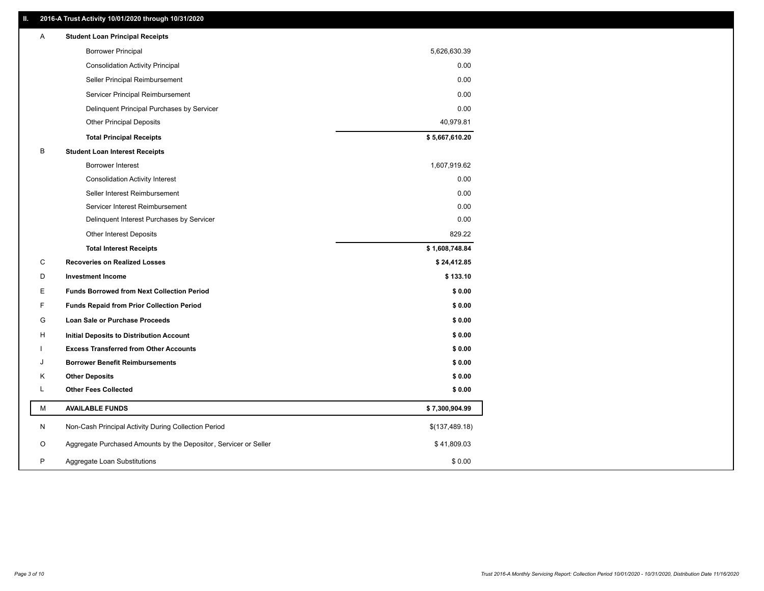# **II. 2016-A Trust Activity 10/01/2020 through 10/31/2020**

| <b>Borrower Principal</b><br>5,626,630.39<br>0.00<br><b>Consolidation Activity Principal</b><br>0.00<br>Seller Principal Reimbursement<br>0.00<br>Servicer Principal Reimbursement<br>0.00<br>Delinquent Principal Purchases by Servicer<br><b>Other Principal Deposits</b><br>40,979.81 |  |
|------------------------------------------------------------------------------------------------------------------------------------------------------------------------------------------------------------------------------------------------------------------------------------------|--|
|                                                                                                                                                                                                                                                                                          |  |
|                                                                                                                                                                                                                                                                                          |  |
|                                                                                                                                                                                                                                                                                          |  |
|                                                                                                                                                                                                                                                                                          |  |
|                                                                                                                                                                                                                                                                                          |  |
|                                                                                                                                                                                                                                                                                          |  |
| \$5,667,610.20<br><b>Total Principal Receipts</b>                                                                                                                                                                                                                                        |  |
| B<br><b>Student Loan Interest Receipts</b>                                                                                                                                                                                                                                               |  |
| <b>Borrower Interest</b><br>1,607,919.62                                                                                                                                                                                                                                                 |  |
| 0.00<br><b>Consolidation Activity Interest</b>                                                                                                                                                                                                                                           |  |
| 0.00<br>Seller Interest Reimbursement                                                                                                                                                                                                                                                    |  |
| 0.00<br>Servicer Interest Reimbursement                                                                                                                                                                                                                                                  |  |
| 0.00<br>Delinquent Interest Purchases by Servicer                                                                                                                                                                                                                                        |  |
| 829.22<br>Other Interest Deposits                                                                                                                                                                                                                                                        |  |
| \$1,608,748.84<br><b>Total Interest Receipts</b>                                                                                                                                                                                                                                         |  |
| C<br><b>Recoveries on Realized Losses</b><br>\$24,412.85                                                                                                                                                                                                                                 |  |
| \$133.10<br>D<br><b>Investment Income</b>                                                                                                                                                                                                                                                |  |
| Е<br><b>Funds Borrowed from Next Collection Period</b><br>\$0.00                                                                                                                                                                                                                         |  |
| F<br>\$0.00<br><b>Funds Repaid from Prior Collection Period</b>                                                                                                                                                                                                                          |  |
| G<br>Loan Sale or Purchase Proceeds<br>\$0.00                                                                                                                                                                                                                                            |  |
| \$0.00<br>H<br>Initial Deposits to Distribution Account                                                                                                                                                                                                                                  |  |
| <b>Excess Transferred from Other Accounts</b><br>\$0.00                                                                                                                                                                                                                                  |  |
| <b>Borrower Benefit Reimbursements</b><br>\$0.00<br>J                                                                                                                                                                                                                                    |  |
| \$0.00<br>Κ<br><b>Other Deposits</b>                                                                                                                                                                                                                                                     |  |
| L<br><b>Other Fees Collected</b><br>\$0.00                                                                                                                                                                                                                                               |  |
| M<br><b>AVAILABLE FUNDS</b><br>\$7,300,904.99                                                                                                                                                                                                                                            |  |
| N<br>Non-Cash Principal Activity During Collection Period<br>\$(137,489.18)                                                                                                                                                                                                              |  |
| Aggregate Purchased Amounts by the Depositor, Servicer or Seller<br>O<br>\$41,809.03                                                                                                                                                                                                     |  |
| P<br>\$0.00<br>Aggregate Loan Substitutions                                                                                                                                                                                                                                              |  |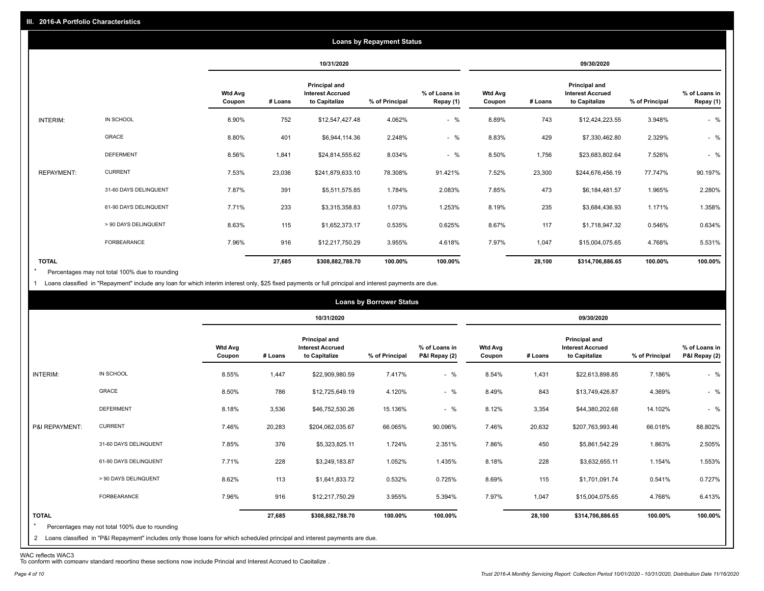|                   | <b>Loans by Repayment Status</b> |                          |            |                                                                  |                |                            |                          |         |                                                                  |                |                            |
|-------------------|----------------------------------|--------------------------|------------|------------------------------------------------------------------|----------------|----------------------------|--------------------------|---------|------------------------------------------------------------------|----------------|----------------------------|
|                   |                                  |                          | 10/31/2020 |                                                                  |                | 09/30/2020                 |                          |         |                                                                  |                |                            |
|                   |                                  | <b>Wtd Avg</b><br>Coupon | # Loans    | <b>Principal and</b><br><b>Interest Accrued</b><br>to Capitalize | % of Principal | % of Loans in<br>Repay (1) | <b>Wtd Avg</b><br>Coupon | # Loans | <b>Principal and</b><br><b>Interest Accrued</b><br>to Capitalize | % of Principal | % of Loans in<br>Repay (1) |
| INTERIM:          | IN SCHOOL                        | 8.90%                    | 752        | \$12,547,427.48                                                  | 4.062%         | $-$ %                      | 8.89%                    | 743     | \$12,424,223.55                                                  | 3.948%         | $-$ %                      |
|                   | GRACE                            | 8.80%                    | 401        | \$6,944,114.36                                                   | 2.248%         | $-$ %                      | 8.83%                    | 429     | \$7,330,462.80                                                   | 2.329%         | $-$ %                      |
|                   | <b>DEFERMENT</b>                 | 8.56%                    | 1,841      | \$24,814,555.62                                                  | 8.034%         | $-$ %                      | 8.50%                    | 1,756   | \$23,683,802.64                                                  | 7.526%         | $-$ %                      |
| <b>REPAYMENT:</b> | <b>CURRENT</b>                   | 7.53%                    | 23,036     | \$241,879,633.10                                                 | 78.308%        | 91.421%                    | 7.52%                    | 23,300  | \$244,676,456.19                                                 | 77.747%        | 90.197%                    |
|                   | 31-60 DAYS DELINQUENT            | 7.87%                    | 391        | \$5,511,575.85                                                   | 1.784%         | 2.083%                     | 7.85%                    | 473     | \$6,184,481.57                                                   | 1.965%         | 2.280%                     |
|                   | 61-90 DAYS DELINQUENT            | 7.71%                    | 233        | \$3,315,358.83                                                   | 1.073%         | 1.253%                     | 8.19%                    | 235     | \$3,684,436.93                                                   | 1.171%         | 1.358%                     |
|                   | > 90 DAYS DELINQUENT             | 8.63%                    | 115        | \$1,652,373.17                                                   | 0.535%         | 0.625%                     | 8.67%                    | 117     | \$1,718,947.32                                                   | 0.546%         | 0.634%                     |
|                   | <b>FORBEARANCE</b>               | 7.96%                    | 916        | \$12,217,750.29                                                  | 3.955%         | 4.618%                     | 7.97%                    | 1,047   | \$15,004,075.65                                                  | 4.768%         | 5.531%                     |
| <b>TOTAL</b>      |                                  |                          | 27,685     | \$308,882,788.70                                                 | 100.00%        | 100.00%                    |                          | 28,100  | \$314,706,886.65                                                 | 100.00%        | 100.00%                    |

Percentages may not total 100% due to rounding  $\star$ 

1 Loans classified in "Repayment" include any loan for which interim interest only, \$25 fixed payments or full principal and interest payments are due.

|                         |                                                                                                                                                                                | <b>Loans by Borrower Status</b> |            |                                                           |                |                                |                          |         |                                                                  |                |                                |
|-------------------------|--------------------------------------------------------------------------------------------------------------------------------------------------------------------------------|---------------------------------|------------|-----------------------------------------------------------|----------------|--------------------------------|--------------------------|---------|------------------------------------------------------------------|----------------|--------------------------------|
|                         |                                                                                                                                                                                |                                 | 10/31/2020 |                                                           |                | 09/30/2020                     |                          |         |                                                                  |                |                                |
|                         |                                                                                                                                                                                | <b>Wtd Avg</b><br>Coupon        | # Loans    | Principal and<br><b>Interest Accrued</b><br>to Capitalize | % of Principal | % of Loans in<br>P&I Repay (2) | <b>Wtd Avg</b><br>Coupon | # Loans | <b>Principal and</b><br><b>Interest Accrued</b><br>to Capitalize | % of Principal | % of Loans in<br>P&I Repay (2) |
| INTERIM:                | IN SCHOOL                                                                                                                                                                      | 8.55%                           | 1,447      | \$22,909,980.59                                           | 7.417%         | $-$ %                          | 8.54%                    | 1,431   | \$22,613,898.85                                                  | 7.186%         | $-$ %                          |
|                         | GRACE                                                                                                                                                                          | 8.50%                           | 786        | \$12,725,649.19                                           | 4.120%         | $-$ %                          | 8.49%                    | 843     | \$13,749,426.87                                                  | 4.369%         | $-$ %                          |
|                         | <b>DEFERMENT</b>                                                                                                                                                               | 8.18%                           | 3,536      | \$46,752,530.26                                           | 15.136%        | $-$ %                          | 8.12%                    | 3,354   | \$44,380,202.68                                                  | 14.102%        | $-$ %                          |
| P&I REPAYMENT:          | <b>CURRENT</b>                                                                                                                                                                 | 7.46%                           | 20,283     | \$204,062,035.67                                          | 66.065%        | 90.096%                        | 7.46%                    | 20,632  | \$207,763,993.46                                                 | 66.018%        | 88.802%                        |
|                         | 31-60 DAYS DELINQUENT                                                                                                                                                          | 7.85%                           | 376        | \$5,323,825.11                                            | 1.724%         | 2.351%                         | 7.86%                    | 450     | \$5,861,542.29                                                   | 1.863%         | 2.505%                         |
|                         | 61-90 DAYS DELINQUENT                                                                                                                                                          | 7.71%                           | 228        | \$3,249,183.87                                            | 1.052%         | 1.435%                         | 8.18%                    | 228     | \$3,632,655.11                                                   | 1.154%         | 1.553%                         |
|                         | > 90 DAYS DELINQUENT                                                                                                                                                           | 8.62%                           | 113        | \$1,641,833.72                                            | 0.532%         | 0.725%                         | 8.69%                    | 115     | \$1,701,091.74                                                   | 0.541%         | 0.727%                         |
|                         | FORBEARANCE                                                                                                                                                                    | 7.96%                           | 916        | \$12,217,750.29                                           | 3.955%         | 5.394%                         | 7.97%                    | 1,047   | \$15,004,075.65                                                  | 4.768%         | 6.413%                         |
| <b>TOTAL</b><br>$\star$ | Percentages may not total 100% due to rounding<br>2 Loans classified in "P&I Repayment" includes only those loans for which scheduled principal and interest payments are due. |                                 | 27,685     | \$308,882,788.70                                          | 100.00%        | 100.00%                        |                          | 28,100  | \$314,706,886.65                                                 | 100.00%        | 100.00%                        |

WAC reflects WAC3 To conform with company standard reporting these sections now include Princial and Interest Accrued to Capitalize .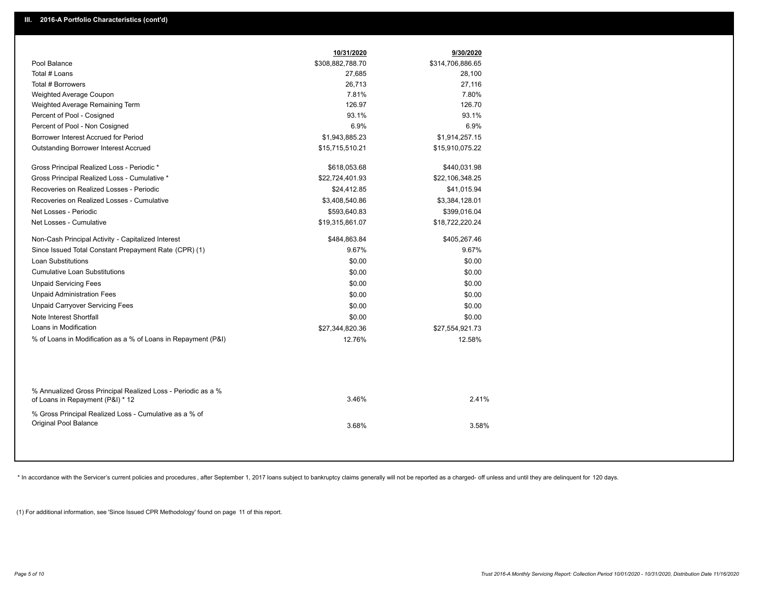|                                                                                                  | 10/31/2020       | 9/30/2020        |  |
|--------------------------------------------------------------------------------------------------|------------------|------------------|--|
| Pool Balance                                                                                     | \$308,882,788.70 | \$314,706,886.65 |  |
| Total # Loans                                                                                    | 27,685           | 28,100           |  |
| Total # Borrowers                                                                                | 26,713           | 27,116           |  |
| Weighted Average Coupon                                                                          | 7.81%            | 7.80%            |  |
| Weighted Average Remaining Term                                                                  | 126.97           | 126.70           |  |
| Percent of Pool - Cosigned                                                                       | 93.1%            | 93.1%            |  |
| Percent of Pool - Non Cosigned                                                                   | 6.9%             | 6.9%             |  |
| Borrower Interest Accrued for Period                                                             | \$1,943,885.23   | \$1,914,257.15   |  |
| Outstanding Borrower Interest Accrued                                                            | \$15,715,510.21  | \$15,910,075.22  |  |
| Gross Principal Realized Loss - Periodic *                                                       | \$618,053.68     | \$440,031.98     |  |
| Gross Principal Realized Loss - Cumulative *                                                     | \$22,724,401.93  | \$22,106,348.25  |  |
| Recoveries on Realized Losses - Periodic                                                         | \$24,412.85      | \$41,015.94      |  |
| Recoveries on Realized Losses - Cumulative                                                       | \$3,408,540.86   | \$3,384,128.01   |  |
| Net Losses - Periodic                                                                            | \$593,640.83     | \$399,016.04     |  |
| Net Losses - Cumulative                                                                          | \$19,315,861.07  | \$18,722,220.24  |  |
| Non-Cash Principal Activity - Capitalized Interest                                               | \$484,863.84     | \$405,267.46     |  |
| Since Issued Total Constant Prepayment Rate (CPR) (1)                                            | 9.67%            | 9.67%            |  |
| Loan Substitutions                                                                               | \$0.00           | \$0.00           |  |
| <b>Cumulative Loan Substitutions</b>                                                             | \$0.00           | \$0.00           |  |
| <b>Unpaid Servicing Fees</b>                                                                     | \$0.00           | \$0.00           |  |
| <b>Unpaid Administration Fees</b>                                                                | \$0.00           | \$0.00           |  |
| <b>Unpaid Carryover Servicing Fees</b>                                                           | \$0.00           | \$0.00           |  |
| Note Interest Shortfall                                                                          | \$0.00           | \$0.00           |  |
| Loans in Modification                                                                            | \$27,344,820.36  | \$27,554,921.73  |  |
| % of Loans in Modification as a % of Loans in Repayment (P&I)                                    | 12.76%           | 12.58%           |  |
|                                                                                                  |                  |                  |  |
| % Annualized Gross Principal Realized Loss - Periodic as a %<br>of Loans in Repayment (P&I) * 12 | 3.46%            | 2.41%            |  |
| % Gross Principal Realized Loss - Cumulative as a % of                                           |                  |                  |  |
| Original Pool Balance                                                                            | 3.68%            | 3.58%            |  |
|                                                                                                  |                  |                  |  |
|                                                                                                  |                  |                  |  |

\* In accordance with the Servicer's current policies and procedures, after September 1, 2017 loans subject to bankruptcy claims generally will not be reported as a charged- off unless and until they are delinquent for 120

(1) For additional information, see 'Since Issued CPR Methodology' found on page 11 of this report.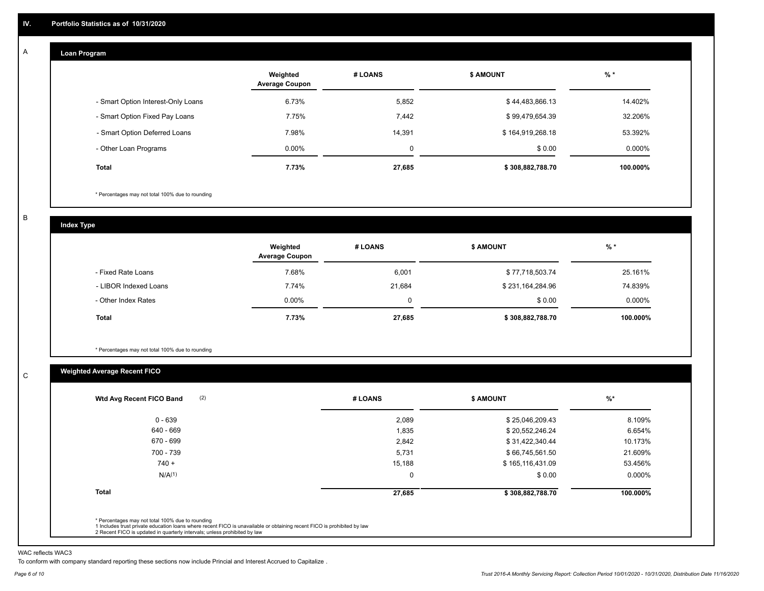#### **Loan Program**  A

|                                    | Weighted<br><b>Average Coupon</b> | # LOANS | <b>\$ AMOUNT</b> | $%$ *    |
|------------------------------------|-----------------------------------|---------|------------------|----------|
| - Smart Option Interest-Only Loans | 6.73%                             | 5,852   | \$44,483,866.13  | 14.402%  |
| - Smart Option Fixed Pay Loans     | 7.75%                             | 7,442   | \$99,479,654.39  | 32.206%  |
| - Smart Option Deferred Loans      | 7.98%                             | 14.391  | \$164,919,268.18 | 53.392%  |
| - Other Loan Programs              | $0.00\%$                          | 0       | \$0.00           | 0.000%   |
| <b>Total</b>                       | 7.73%                             | 27,685  | \$308,882,788.70 | 100.000% |

\* Percentages may not total 100% due to rounding

B

C

**Index Type**

|                       | Weighted<br><b>Average Coupon</b> | # LOANS  | <b>\$ AMOUNT</b> | $%$ *    |
|-----------------------|-----------------------------------|----------|------------------|----------|
| - Fixed Rate Loans    | 7.68%                             | 6,001    | \$77,718,503.74  | 25.161%  |
| - LIBOR Indexed Loans | 7.74%                             | 21,684   | \$231,164,284.96 | 74.839%  |
| - Other Index Rates   | $0.00\%$                          | $\Omega$ | \$0.00           | 0.000%   |
| Total                 | 7.73%                             | 27,685   | \$308,882,788.70 | 100.000% |

\* Percentages may not total 100% due to rounding

# **Weighted Average Recent FICO**

| $0 - 639$          | 2,089  | \$25,046,209.43  | 8.109%    |
|--------------------|--------|------------------|-----------|
| 640 - 669          | 1,835  | \$20,552,246.24  | 6.654%    |
| 670 - 699          | 2,842  | \$31,422,340.44  | 10.173%   |
| 700 - 739          | 5,731  | \$66,745,561.50  | 21.609%   |
| $740 +$            | 15,188 | \$165,116,431.09 | 53.456%   |
| N/A <sup>(1)</sup> | 0      | \$0.00           | $0.000\%$ |
| <b>Total</b>       | 27,685 | \$308,882,788.70 | 100.000%  |

WAC reflects WAC3

To conform with company standard reporting these sections now include Princial and Interest Accrued to Capitalize .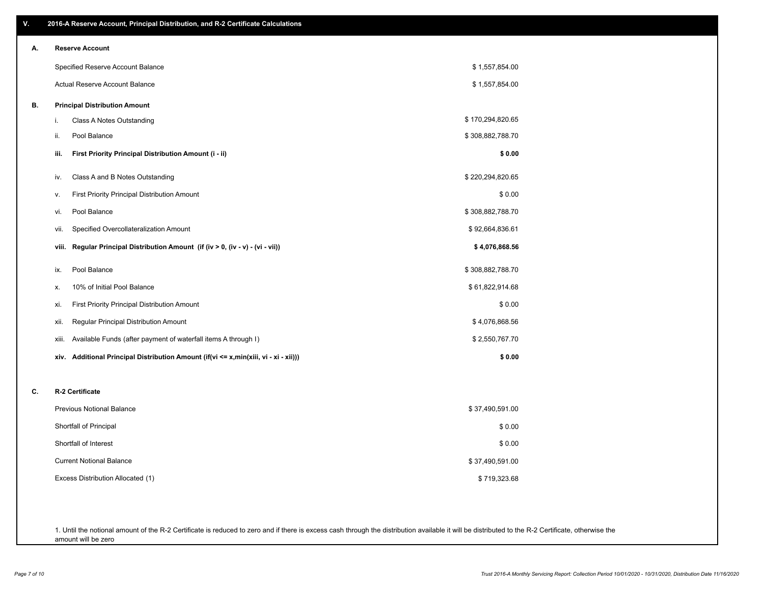| ۷. | 2016-A Reserve Account, Principal Distribution, and R-2 Certificate Calculations        |                  |
|----|-----------------------------------------------------------------------------------------|------------------|
| А. | <b>Reserve Account</b>                                                                  |                  |
|    | Specified Reserve Account Balance                                                       | \$1,557,854.00   |
|    | Actual Reserve Account Balance                                                          | \$1,557,854.00   |
| В. | <b>Principal Distribution Amount</b>                                                    |                  |
|    | Class A Notes Outstanding<br>i.                                                         | \$170,294,820.65 |
|    | Pool Balance<br>ii.                                                                     | \$308,882,788.70 |
|    | First Priority Principal Distribution Amount (i - ii)<br>iii.                           | \$0.00           |
|    | Class A and B Notes Outstanding<br>iv.                                                  | \$220,294,820.65 |
|    | First Priority Principal Distribution Amount<br>٧.                                      | \$0.00           |
|    | Pool Balance<br>vi.                                                                     | \$308,882,788.70 |
|    | Specified Overcollateralization Amount<br>vii.                                          | \$92,664,836.61  |
|    | Regular Principal Distribution Amount (if (iv > 0, (iv - v) - (vi - vii))<br>viii.      | \$4,076,868.56   |
|    | Pool Balance<br>ix.                                                                     | \$308,882,788.70 |
|    | 10% of Initial Pool Balance<br>х.                                                       | \$61,822,914.68  |
|    | First Priority Principal Distribution Amount<br>xi.                                     | \$0.00           |
|    | Regular Principal Distribution Amount<br>xii.                                           | \$4,076,868.56   |
|    | Available Funds (after payment of waterfall items A through I)<br>xiii.                 | \$2,550,767.70   |
|    | Additional Principal Distribution Amount (if(vi <= x,min(xiii, vi - xi - xii)))<br>xiv. | \$0.00           |
| C. | R-2 Certificate                                                                         |                  |
|    | <b>Previous Notional Balance</b>                                                        | \$37,490,591.00  |
|    | Shortfall of Principal                                                                  | \$0.00           |
|    | Shortfall of Interest                                                                   | \$0.00           |
|    | <b>Current Notional Balance</b>                                                         | \$37,490,591.00  |
|    | Excess Distribution Allocated (1)                                                       | \$719,323.68     |
|    |                                                                                         |                  |
|    |                                                                                         |                  |

1. Until the notional amount of the R-2 Certificate is reduced to zero and if there is excess cash through the distribution available it will be distributed to the R-2 Certificate, otherwise the amount will be zero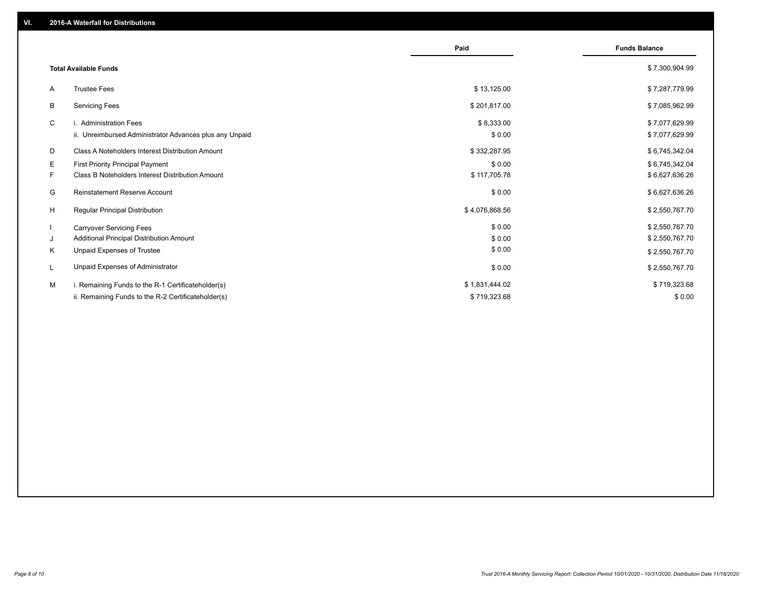|                                                               | Paid           | <b>Funds Balance</b> |
|---------------------------------------------------------------|----------------|----------------------|
| <b>Total Available Funds</b>                                  |                | \$7,300,904.99       |
| <b>Trustee Fees</b><br>A                                      | \$13,125.00    | \$7,287,779.99       |
| В<br><b>Servicing Fees</b>                                    | \$201,817.00   | \$7,085,962.99       |
| C<br>i. Administration Fees                                   | \$8,333.00     | \$7,077,629.99       |
| ii. Unreimbursed Administrator Advances plus any Unpaid       | \$0.00         | \$7,077,629.99       |
| D<br><b>Class A Noteholders Interest Distribution Amount</b>  | \$332,287.95   | \$6,745,342.04       |
| Е<br>First Priority Principal Payment                         | \$0.00         | \$6,745,342.04       |
| F.<br><b>Class B Noteholders Interest Distribution Amount</b> | \$117,705.78   | \$6,627,636.26       |
| Reinstatement Reserve Account<br>G                            | \$0.00         | \$6,627,636.26       |
| H<br><b>Regular Principal Distribution</b>                    | \$4,076,868.56 | \$2,550,767.70       |
| <b>Carryover Servicing Fees</b>                               | \$0.00         | \$2,550,767.70       |
| Additional Principal Distribution Amount<br>J                 | \$0.00         | \$2,550,767.70       |
| Unpaid Expenses of Trustee<br>Κ                               | \$0.00         | \$2,550,767.70       |
| Unpaid Expenses of Administrator<br>L                         | \$0.00         | \$2,550,767.70       |
| M<br>i. Remaining Funds to the R-1 Certificateholder(s)       | \$1,831,444.02 | \$719,323.68         |
| ii. Remaining Funds to the R-2 Certificateholder(s)           | \$719,323.68   | \$0.00               |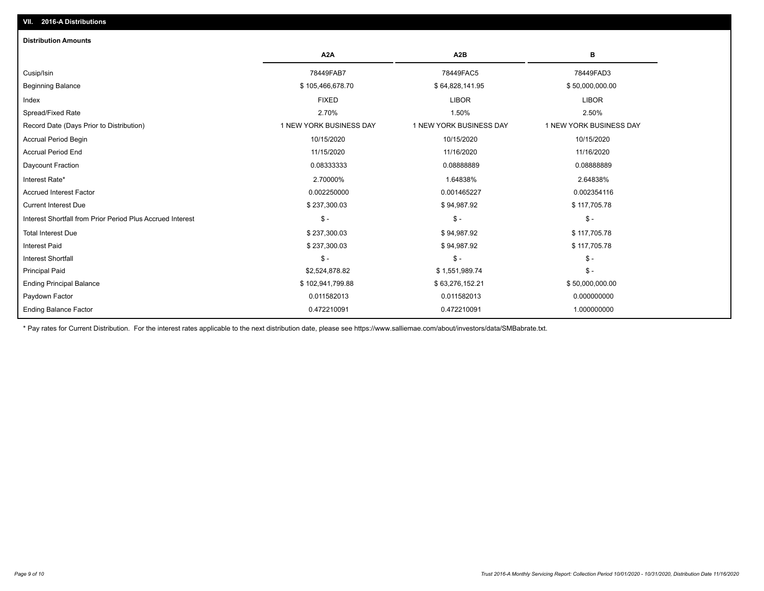# Ending Balance Factor Paydown Factor 0.011582013 0.011582013 0.000000000 Ending Principal Balance \$ 102,941,799.88 \$63,276,152.21 \$63,276,152.21 \$50,000,000.00 Principal Paid \$2,524,878.82 \$ 1,551,989.74 \$ - Interest Shortfall \$ - \$ - \$ - Interest Paid \$ 237,300.03 \$ 94,987.92 \$ 117,705.78 Total Interest Due \$ 237,300.03 \$ 94,987.92 \$ 117,705.78 Interest Shortfall from Prior Period Plus Accrued Interest \$ - \$ - \$ - Current Interest Due \$ 237,300.03 \$ 94,987.92 \$ 117,705.78 Accrued Interest Factor 0.002250000 0.001465227 0.002354116 Interest Rate\* 2.70000% 1.64838% 2.64838% Daycount Fraction 0.08333333 0.08888889 0.08888889 Accrual Period End 11/15/2020 11/16/2020 11/16/2020 Accrual Period Begin 20115/2020 20 10/15/2020 10/15/2020 10/15/2020 10/15/2020 10/15/2020 10/15/2020 10/15/2020 Record Date (Days Prior to Distribution) 1 1 NEW YORK BUSINESS DAY 1 NEW YORK BUSINESS DAY 1 NEW YORK BUSINESS DAY Spread/Fixed Rate 2.70% 1.50% 2.50% Index FIXED LIBOR LIBOR Beginning Balance \$ 50,000,000.00 \$ \$ 50,000,000.00 \$ \$ 105,466,678.70 \$ \$ 64,828,141.95 \$ \$ 50,000,000.00 \$ \$ Cusip/Isin 78449FAB7 78449FAC5 78449FAD3 **A2A A2B B** 0.472210091 0.472210091 1.000000000 **Distribution Amounts**

\* Pay rates for Current Distribution. For the interest rates applicable to the next distribution date, please see https://www.salliemae.com/about/investors/data/SMBabrate.txt.

**VII. 2016-A Distributions**